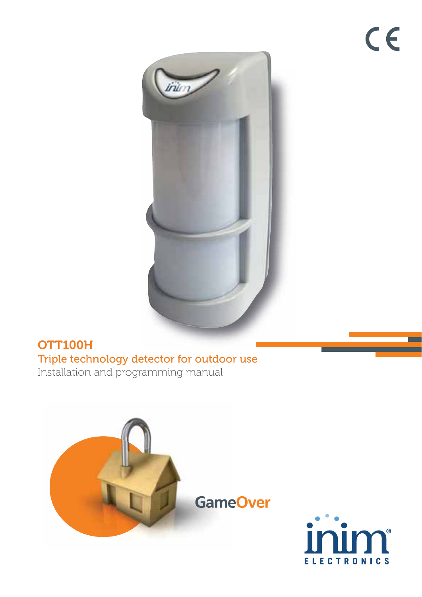

## **[OTT100H](https://www.ultramaster.ro/sisteme-alarma.html)** Triple technology detector for outdoor use Installation and programming manual



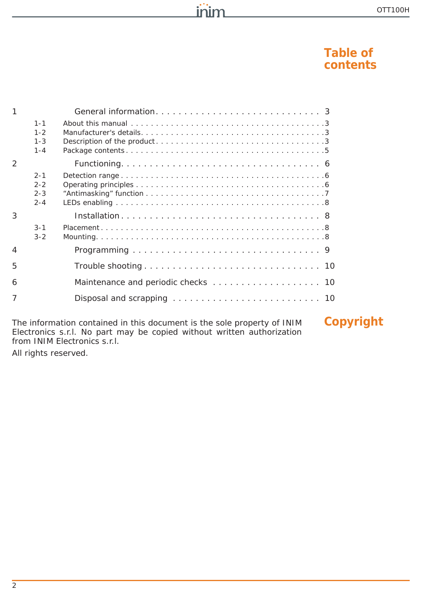### **Table of contents**

| 1 |                                          |  |
|---|------------------------------------------|--|
|   | $1 - 1$<br>$1 - 2$<br>$1 - 3$<br>$1 - 4$ |  |
| 2 |                                          |  |
|   | $2 - 1$<br>$2 - 2$<br>$2 - 3$<br>$2 - 4$ |  |
| 3 |                                          |  |
|   | $3 - 1$<br>$3 - 2$                       |  |
| 4 |                                          |  |
| 5 |                                          |  |
| 6 |                                          |  |
|   |                                          |  |
|   |                                          |  |

inim

The information contained in this document is the sole property of INIM **Copyright** Electronics s.r.l. No part may be copied without written authorization from INIM Electronics s.r.l.

All rights reserved.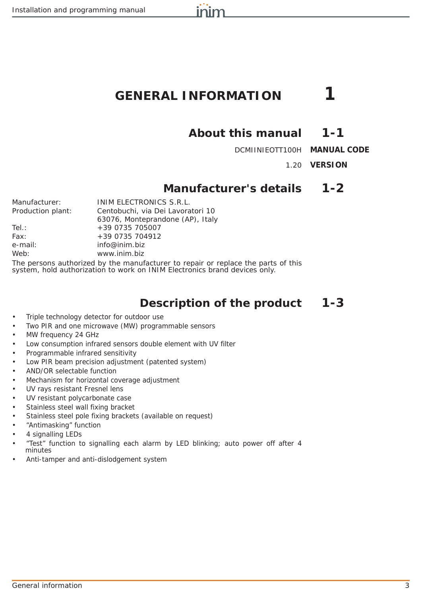# **GENERAL INFORMATION 1**

inim

## **About this manual 1-1**

DCMIINIEOTT100H **MANUAL CODE**

1.20 **VERSION**

## **Manufacturer's details 1-2**

| Manufacturer:     | INIM ELECTRONICS S.R.L.                                                        |
|-------------------|--------------------------------------------------------------------------------|
| Production plant: | Centobuchi, via Dei Lavoratori 10                                              |
|                   | 63076, Monteprandone (AP), Italy                                               |
| Tel.:             | +39 0735 705007                                                                |
| Fax:              | +39 0735 704912                                                                |
| e-mail:           | info@inim.biz                                                                  |
| Web:              | www.inim.biz                                                                   |
|                   | The noroone outhorized by the monufacturer to renais as realess the norte of i |

The persons authorized by the manufacturer to repair or replace the parts of this system, hold authorization to work on INIM Electronics brand devices only.

## **Description of the product 1-3**

- Triple technology detector for outdoor use
- Two PIR and one microwave (MW) programmable sensors
- MW frequency 24 GHz
- Low consumption infrared sensors double element with UV filter
- Programmable infrared sensitivity
- Low PIR beam precision adjustment (patented system)
- AND/OR selectable function
- Mechanism for horizontal coverage adjustment
- UV rays resistant Fresnel lens
- UV resistant polycarbonate case
- Stainless steel wall fixing bracket
- Stainless steel pole fixing brackets (available on request)
- "Antimasking" function
- 4 signalling LEDs
- "Test" function to signalling each alarm by LED blinking; auto power off after 4 minutes
- Anti-tamper and anti-dislodgement system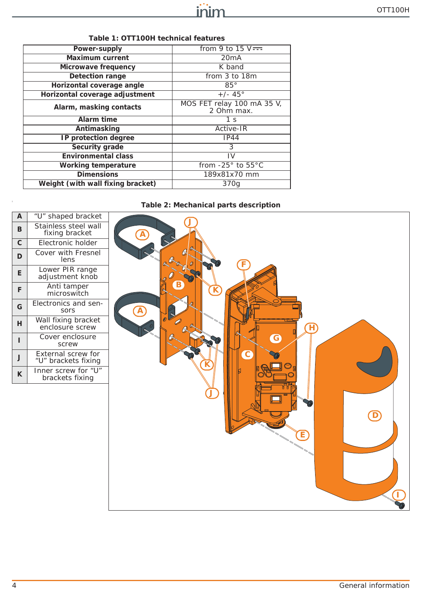| Power-supply                      | from 9 to 15 $V = -$                     |
|-----------------------------------|------------------------------------------|
| Maximum current                   | 20mA                                     |
| Microwave frequency               | K band                                   |
| <b>Detection range</b>            | from 3 to 18m                            |
| Horizontal coverage angle         | $85^\circ$                               |
| Horizontal coverage adjustment    | $+/- 45^{\circ}$                         |
| Alarm, masking contacts           | MOS FET relay 100 mA 35 V,<br>2 Ohm max. |
| Alarm time                        | 1 <sub>s</sub>                           |
| Antimasking                       | Active-IR                                |
| IP protection degree              | IP44                                     |
| Security grade                    | 3                                        |
| <b>Environmental class</b>        | IV                                       |
| Working temperature               | from $-25^\circ$ to $55^\circ$ C         |
| <b>Dimensions</b>                 | 189x81x70 mm                             |
| Weight (with wall fixing bracket) | 370g                                     |
|                                   |                                          |

#### **Table 1: OTT100H technical features**

### **Table 2: Mechanical parts description**

| $\mathsf{A}$   | "U" shaped bracket                        |                  |
|----------------|-------------------------------------------|------------------|
| B              | Stainless steel wall<br>fixing bracket    | $\bigcirc$       |
| $\overline{c}$ | Electronic holder                         |                  |
| D              | Cover with Fresnel<br>lens                |                  |
| E              | Lower PIR range<br>adjustment knob        |                  |
| F              | Anti tamper<br>microswitch                |                  |
| G              | Electronics and sen-<br>sors              | $\bigcirc$       |
| H.             | Wall fixing bracket<br>enclosure screw    | ۲                |
| п              | Cover enclosure<br>screw                  | $\mathbf \Theta$ |
| J              | External screw for<br>"U" brackets fixing | c                |
| K              | Inner screw for "U"<br>brackets fixing    | ้อ<br>Е          |
|                |                                           |                  |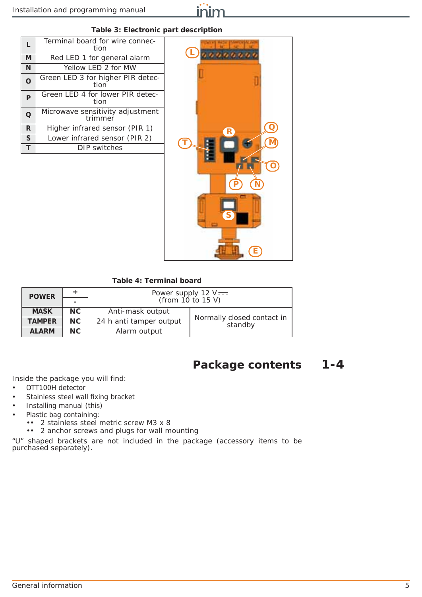

#### **Table 3: Electronic part description**

| L | Terminal board for wire connec-<br>tion     |  |  |
|---|---------------------------------------------|--|--|
| M | Red LED 1 for general alarm                 |  |  |
| N | Yellow LED 2 for MW                         |  |  |
| o | Green LED 3 for higher PIR detec-<br>tion   |  |  |
| P | Green LED 4 for lower PIR detec-<br>tion    |  |  |
| Q | Microwave sensitivity adjustment<br>trimmer |  |  |
| R | Higher infrared sensor (PIR 1)              |  |  |
| S | Lower infrared sensor (PIR 2)               |  |  |
|   | DIP switches                                |  |  |



#### **Table 4: Terminal board**

| <b>POWER</b>  |                                | Power supply $12 \text{ V}$ $\rightleftarrows$ |                                       |  |
|---------------|--------------------------------|------------------------------------------------|---------------------------------------|--|
|               |                                | (from $10$ to $15$ V)                          |                                       |  |
| <b>MASK</b>   | NC.                            | Anti-mask output                               |                                       |  |
| <b>TAMPER</b> | NC.<br>24 h anti tamper output |                                                | Normally closed contact in<br>standby |  |
| <b>ALARM</b>  | NC.                            | Alarm output                                   |                                       |  |

### **Package contents 1-4**

Inside the package you will find:

- OTT100H detector
- Stainless steel wall fixing bracket
- Installing manual (this)
- Plastic bag containing:
	- •• 2 stainless steel metric screw M3 x 8
	- •• 2 anchor screws and plugs for wall mounting

"U" shaped brackets are not included in the package (accessory items to be purchased separately).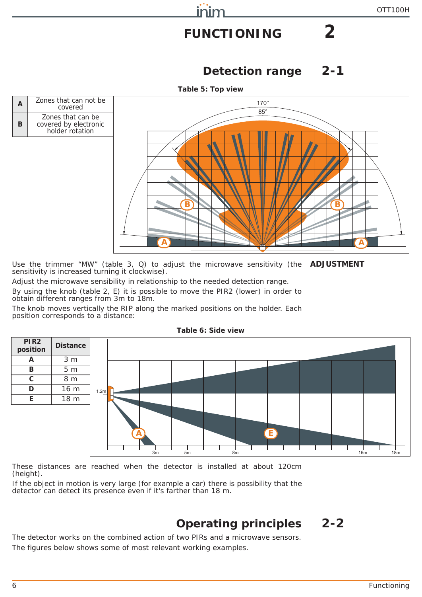# **FUNCTIONING 2**

inim

## **Detection range 2-1**



Use the trimmer "MW" (*table 3, Q*) to adjust the microwave sensitivity (the **ADJUSTMENT** sensitivity is increased turning it clockwise).

Adjust the microwave sensibility in relationship to the needed detection range.

By using the knob (*table 2, E*) it is possible to move the PIR2 (lower) in order to obtain different ranges from 3m to 18m.

The knob moves vertically the RIP along the marked positions on the holder. Each position corresponds to a distance:



#### **Table 6: Side view**

These distances are reached when the detector is installed at about 120cm (height).

If the object in motion is very large (for example a car) there is possibility that the detector can detect its presence even if it's farther than 18 m.

## **Operating principles 2-2**

The detector works on the combined action of two PIRs and a microwave sensors. The figures below shows some of most relevant working examples.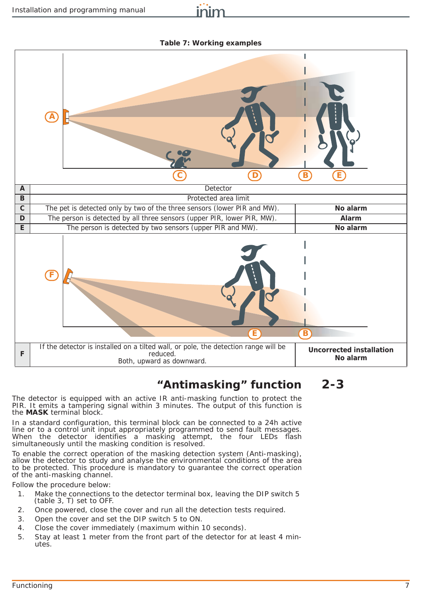inim

**Table 7: Working examples**



## **"Antimasking" function 2-3**

The detector is equipped with an active IR anti-masking function to protect the PIR. It emits a tampering signal within 3 minutes. The output of this function is the **MASK** terminal block.

In a standard configuration, this terminal block can be connected to a 24h active line or to a control unit input appropriately programmed to send fault messages. When the detector identifies a masking attempt, the four LEDs flash simultaneously until the masking condition is resolved.

To enable the correct operation of the masking detection system (Anti-masking), allow the detector to study and analyse the environmental conditions of the area to be protected. This procedure is mandatory to guarantee the correct operation of the anti-masking channel.

Follow the procedure below:

- 1. Make the connections to the detector terminal box, leaving the DIP switch 5 (*table 3, T*) set to OFF.
- 2. Once powered, close the cover and run all the detection tests required.
- 3. Open the cover and set the DIP switch 5 to ON.
- 4. Close the cover immediately (maximum within 10 seconds).
- 5. Stay at least 1 meter from the front part of the detector for at least 4 minutes.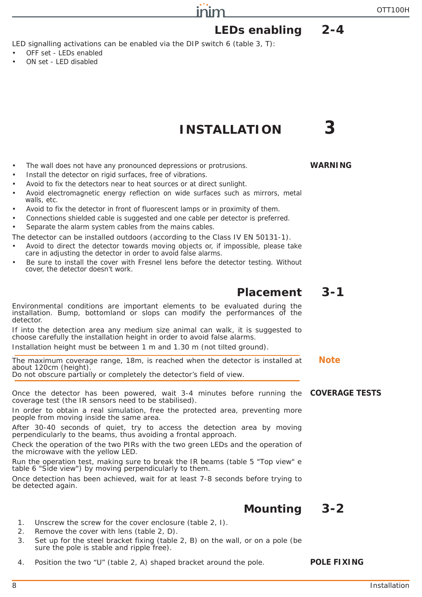# **LEDs enabling 2-4**

LED signalling activations can be enabled via the DIP switch 6 (*table 3, T*):

- OFF set LEDs enabled
- ON set LED disabled

## **INSTALLATION 3**

inim

- The wall does not have any pronounced depressions or protrusions. **WARNING**
- Install the detector on rigid surfaces, free of vibrations.
- Avoid to fix the detectors near to heat sources or at direct sunlight.
- Avoid electromagnetic energy reflection on wide surfaces such as mirrors, metal walls, etc.
- Avoid to fix the detector in front of fluorescent lamps or in proximity of them.
- Connections shielded cable is suggested and one cable per detector is preferred.
- Separate the alarm system cables from the mains cables.

The detector can be installed outdoors (according to the Class IV EN 50131-1).

- Avoid to direct the detector towards moving objects or, if impossible, please take care in adjusting the detector in order to avoid false alarms.
- Be sure to install the cover with Fresnel lens before the detector testing. Without cover, the detector doesn't work.

## **Placement 3-1**

Environmental conditions are important elements to be evaluated during the installation. Bump, bottomland or slops can modify the performances of the detector.

If into the detection area any medium size animal can walk, it is suggested to choose carefully the installation height in order to avoid false alarms.

Installation height must be between 1 m and 1.30 m (not tilted ground).

The maximum coverage range, 18m, is reached when the detector is installed at **Note** about 120cm (height). Do not obscure partially or completely the detector's field of view.

Once the detector has been powered, wait 3-4 minutes before running the **COVERAGE TESTS** coverage test (the IR sensors need to be stabilised).

In order to obtain a real simulation, free the protected area, preventing more people from moving inside the same area.

After 30-40 seconds of quiet, try to access the detection area by moving perpendicularly to the beams, thus avoiding a frontal approach.

Check the operation of the two PIRs with the two green LEDs and the operation of the microwave with the yellow LED.

Run the operation test, making sure to break the IR beams (*table 5 "Top view"*<sup>e</sup> *table 6 "Side view"*) by moving perpendicularly to them.

Once detection has been achieved, wait for at least 7-8 seconds before trying to be detected again.

## **Mounting 3-2**

- 1. Unscrew the screw for the cover enclosure (*table 2, I*).
- 2. Remove the cover with lens (*table 2, D*).
- 3. Set up for the steel bracket fixing (*table 2, B*) on the wall, or on a pole (be sure the pole is stable and ripple free).
- 4. Position the two "U" (*table 2, A*) shaped bracket around the pole. **POLE FIXING**

### 8 Installation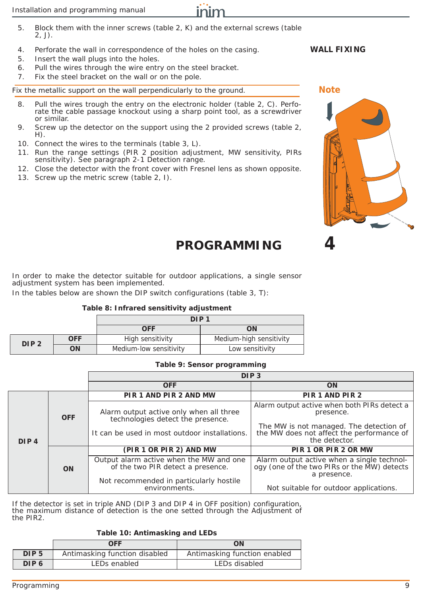- 5. Block them with the inner screws (*table 2, K*) and the external screws (*table 2, J*).
- 4. Perforate the wall in correspondence of the holes on the casing. **WALL FIXING**
- 5. Insert the wall plugs into the holes.
- 6. Pull the wires through the wire entry on the steel bracket.
- 7. Fix the steel bracket on the wall or on the pole.

Fix the metallic support on the wall perpendicularly to the ground. **Note**

- 8. Pull the wires trough the entry on the electronic holder (*table 2, C*). Perforate the cable passage knockout using a sharp point tool, as a screwdriver or similar.
- 9. Screw up the detector on the support using the 2 provided screws (*table 2, H*).
- 10. Connect the wires to the terminals (*table 3, L*).
- 11. Run the range settings (PIR 2 position adjustment, MW sensitivity, PIRs sensitivity). See *paragraph 2-1 Detection range*.
- 12. Close the detector with the front cover with Fresnel lens as shown opposite.
- 13. Screw up the metric screw (*table 2, I*).

# **PROGRAMMING 4**

In order to make the detector suitable for outdoor applications, a single sensor adjustment system has been implemented.

In the tables below are shown the DIP switch configurations (*table 3, T*):

#### **Table 8: Infrared sensitivity adjustment**

|                  |            | DIP <sub>1</sub>       |                         |
|------------------|------------|------------------------|-------------------------|
|                  |            | <b>OFF</b>             | ΟN                      |
| DIP <sub>2</sub> | <b>OFF</b> | High sensitivity       | Medium-high sensitivity |
|                  | ON         | Medium-low sensitivity | Low sensitivity         |

#### **Table 9: Sensor programming**

|                  |            | DIP <sub>3</sub>                                                                                                              |                                                                                                                                                                   |
|------------------|------------|-------------------------------------------------------------------------------------------------------------------------------|-------------------------------------------------------------------------------------------------------------------------------------------------------------------|
|                  |            | <b>OFF</b>                                                                                                                    | <b>ON</b>                                                                                                                                                         |
|                  | <b>OFF</b> | PIR 1 AND PIR 2 AND MW                                                                                                        | PIR 1 AND PIR 2                                                                                                                                                   |
| DIP <sub>4</sub> |            | Alarm output active only when all three<br>technologies detect the presence.<br>It can be used in most outdoor installations. | Alarm output active when both PIRs detect a<br>presence.<br>The MW is not managed. The detection of<br>the MW does not affect the performance of<br>the detector. |
|                  |            | (PIR 1 OR PIR 2) AND MW                                                                                                       | PIR 1 OR PIR 2 OR MW                                                                                                                                              |
|                  | <b>ON</b>  | Output alarm active when the MW and one<br>of the two PIR detect a presence.                                                  | Alarm output active when a single technology (one of the two PIRs or the MW) detects<br>a presence.                                                               |
|                  |            | Not recommended in particularly hostile<br>environments.                                                                      | Not suitable for outdoor applications.                                                                                                                            |

If the detector is set in triple AND (DIP 3 and DIP 4 in OFF position) configuration, the maximum distance of detection is the one setted through the Adjustment of the PIR2.

#### **Table 10: Antimasking and LEDs**

| OFF                              |                               | ON                           |
|----------------------------------|-------------------------------|------------------------------|
| DIP <sub>5</sub>                 | Antimasking function disabled | Antimasking function enabled |
| DIP <sub>6</sub><br>LEDs enabled |                               | LEDs disabled                |

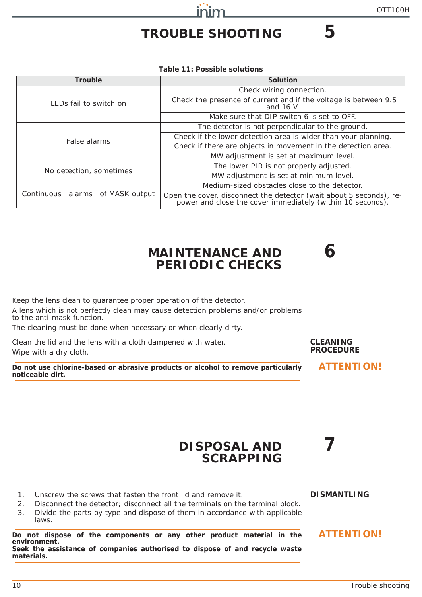# **TROUBLE SHOOTING 5**

inim

**Table 11: Possible solutions**

| Trouble                          | Solution                                                                                                                          |
|----------------------------------|-----------------------------------------------------------------------------------------------------------------------------------|
|                                  | Check wiring connection.                                                                                                          |
| LEDs fail to switch on           | Check the presence of current and if the voltage is between 9.5<br>and 16 V.                                                      |
|                                  | Make sure that DIP switch 6 is set to OFF.                                                                                        |
|                                  | The detector is not perpendicular to the ground.                                                                                  |
| False alarms                     | Check if the lower detection area is wider than your planning.                                                                    |
|                                  | Check if there are objects in movement in the detection area.                                                                     |
|                                  | MW adjustment is set at maximum level.                                                                                            |
| No detection, sometimes          | The lower PIR is not properly adjusted.                                                                                           |
|                                  | MW adjustment is set at minimum level.                                                                                            |
|                                  | Medium-sized obstacles close to the detector.                                                                                     |
| Continuous alarms of MASK output | Open the cover, disconnect the detector (wait about 5 seconds), re-<br>power and close the cover immediately (within 10 seconds). |

## **MAINTENANCE AND 6 PERIODIC CHECKS**

Keep the lens clean to guarantee proper operation of the detector. A lens which is not perfectly clean may cause detection problems and/or problems to the anti-mask function.

The cleaning must be done when necessary or when clearly dirty.

Clean the lid and the lens with a cloth dampened with water. Wipe with a dry cloth.

**Do not use chlorine-based or abrasive products or alcohol to remove particularly ATTENTION! noticeable dirt.**

#### **CLEANING PROCEDURE**

## **DISPOSAL AND 7 SCRAPPING**

1. Unscrew the screws that fasten the front lid and remove it. **DISMANTLING**

2. Disconnect the detector; disconnect all the terminals on the terminal block. 3. Divide the parts by type and dispose of them in accordance with applicable laws.

**Do not dispose of the components or any other product material in the ATTENTION! environment. Seek the assistance of companies authorised to dispose of and recycle waste materials.**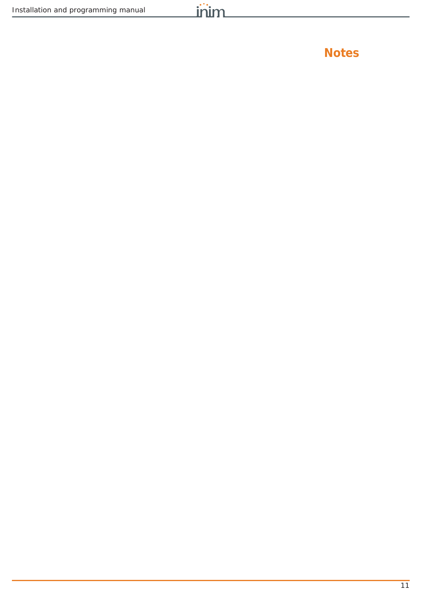**Notes**